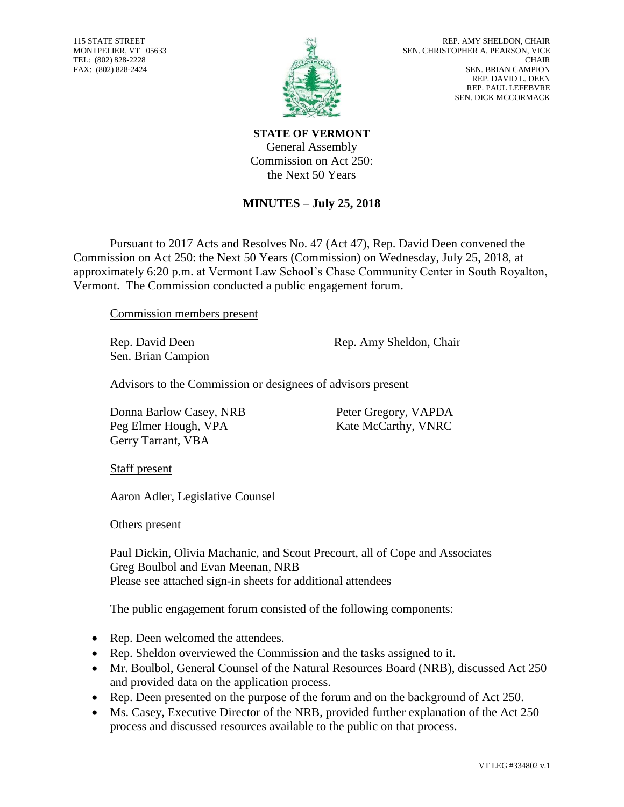115 STATE STREET MONTPELIER, VT 05633 TEL: (802) 828-2228 FAX: (802) 828-2424



**STATE OF VERMONT** General Assembly Commission on Act 250: the Next 50 Years

## **MINUTES – July 25, 2018**

Pursuant to 2017 Acts and Resolves No. 47 (Act 47), Rep. David Deen convened the Commission on Act 250: the Next 50 Years (Commission) on Wednesday, July 25, 2018, at approximately 6:20 p.m. at Vermont Law School's Chase Community Center in South Royalton, Vermont. The Commission conducted a public engagement forum.

Commission members present

Sen. Brian Campion

Rep. David Deen Rep. Amy Sheldon, Chair

Advisors to the Commission or designees of advisors present

Donna Barlow Casey, NRB Peter Gregory, VAPDA Peg Elmer Hough, VPA Kate McCarthy, VNRC Gerry Tarrant, VBA

Staff present

Aaron Adler, Legislative Counsel

Others present

Paul Dickin, Olivia Machanic, and Scout Precourt, all of Cope and Associates Greg Boulbol and Evan Meenan, NRB Please see attached sign-in sheets for additional attendees

The public engagement forum consisted of the following components:

- Rep. Deen welcomed the attendees.
- Rep. Sheldon overviewed the Commission and the tasks assigned to it.
- Mr. Boulbol, General Counsel of the Natural Resources Board (NRB), discussed Act 250 and provided data on the application process.
- Rep. Deen presented on the purpose of the forum and on the background of Act 250.
- Ms. Casey, Executive Director of the NRB, provided further explanation of the Act 250 process and discussed resources available to the public on that process.